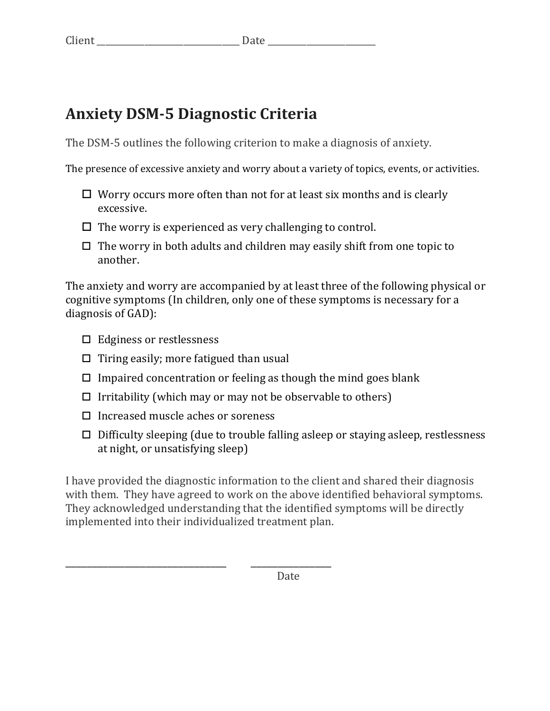## **Anxiety DSM-5 Diagnostic Criteria**

The DSM-5 outlines the following criterion to make a diagnosis of anxiety.

The presence of excessive anxiety and worry about a variety of topics, events, or activities.

- $\Box$  Worry occurs more often than not for at least six months and is clearly excessive.
- $\Box$  The worry is experienced as very challenging to control.
- $\Box$  The worry in both adults and children may easily shift from one topic to another.

The anxiety and worry are accompanied by at least three of the following physical or cognitive symptoms (In children, only one of these symptoms is necessary for a diagnosis of GAD):

- $\Box$  Edginess or restlessness
- $\Box$  Tiring easily; more fatigued than usual
- $\Box$  Impaired concentration or feeling as though the mind goes blank
- $\Box$  Irritability (which may or may not be observable to others)
- $\Box$  Increased muscle aches or soreness

\_\_\_\_\_\_\_\_\_\_\_\_\_\_\_\_\_\_\_\_\_\_\_\_\_\_\_\_\_\_ \_\_\_\_\_\_\_\_\_\_\_\_\_\_\_

 $\Box$  Difficulty sleeping (due to trouble falling asleep or staying asleep, restlessness at night, or unsatisfying sleep)

I have provided the diagnostic information to the client and shared their diagnosis with them. They have agreed to work on the above identified behavioral symptoms. They acknowledged understanding that the identified symptoms will be directly implemented into their individualized treatment plan.

 Date